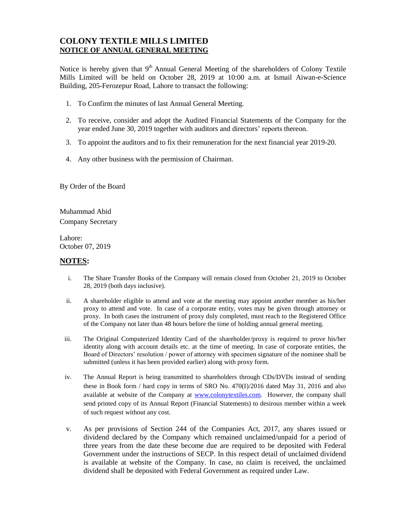## **COLONY TEXTILE MILLS LIMITED NOTICE OF ANNUAL GENERAL MEETING**

Notice is hereby given that 9<sup>th</sup> Annual General Meeting of the shareholders of Colony Textile Mills Limited will be held on October 28, 2019 at 10:00 a.m. at Ismail Aiwan-e-Science Building, 205-Ferozepur Road, Lahore to transact the following:

- 1. To Confirm the minutes of last Annual General Meeting.
- 2. To receive, consider and adopt the Audited Financial Statements of the Company for the year ended June 30, 2019 together with auditors and directors' reports thereon.
- 3. To appoint the auditors and to fix their remuneration for the next financial year 2019-20.
- 4. Any other business with the permission of Chairman.

By Order of the Board

Muhammad Abid Company Secretary

Lahore: October 07, 2019

## **NOTES:**

- i. The Share Transfer Books of the Company will remain closed from October 21, 2019 to October 28, 2019 (both days inclusive).
- ii. A shareholder eligible to attend and vote at the meeting may appoint another member as his/her proxy to attend and vote. In case of a corporate entity, votes may be given through attorney or proxy. In both cases the instrument of proxy duly completed, must reach to the Registered Office of the Company not later than 48 hours before the time of holding annual general meeting.
- iii. The Original Computerized Identity Card of the shareholder/proxy is required to prove his/her identity along with account details etc. at the time of meeting. In case of corporate entities, the Board of Directors' resolution / power of attorney with specimen signature of the nominee shall be submitted (unless it has been provided earlier) along with proxy form.
- iv. The Annual Report is being transmitted to shareholders through CDs/DVDs instead of sending these in Book form / hard copy in terms of SRO No. 470(I)/2016 dated May 31, 2016 and also available at website of the Company at [www.colonytextiles.com.](http://www.colonytextiles.com/) However, the company shall send printed copy of its Annual Report (Financial Statements) to desirous member within a week of such request without any cost.
- v. As per provisions of Section 244 of the Companies Act, 2017, any shares issued or dividend declared by the Company which remained unclaimed/unpaid for a period of three years from the date these become due are required to be deposited with Federal Government under the instructions of SECP. In this respect detail of unclaimed dividend is available at website of the Company. In case, no claim is received, the unclaimed dividend shall be deposited with Federal Government as required under Law.